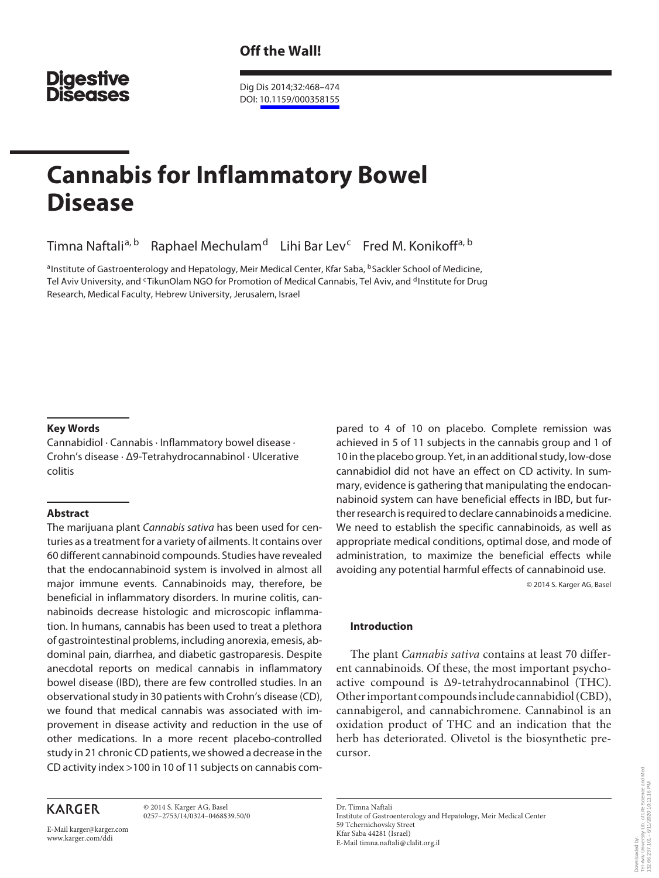## **Digestive Diseases**

 Dig Dis 2014;32:468–474 DOI: [10.1159/000358155](http://dx.doi.org/10.1159%2F000358155)

# **Cannabis for Inflammatory Bowel Disease**

Timna Naftali<sup>a, b</sup> Raphael Mechulam<sup>d</sup> Lihi Bar Lev<sup>c</sup> Fred M. Konikoff<sup>a, b</sup>

<sup>a</sup> Institute of Gastroenterology and Hepatology, Meir Medical Center, Kfar Saba, <sup>b</sup> Sackler School of Medicine, Tel Aviv University, and <sup>c</sup>TikunOlam NGO for Promotion of Medical Cannabis, Tel Aviv, and <sup>d</sup> Institute for Drug Research, Medical Faculty, Hebrew University, Jerusalem, Israel

#### **Key Words**

 Cannabidiol · Cannabis · Inflammatory bowel disease · Crohn's disease · Δ9-Tetrahydrocannabinol · Ulcerative colitis

#### **Abstract**

 The marijuana plant Cannabis sativa has been used for centuries as a treatment for a variety of ailments. It contains over 60 different cannabinoid compounds. Studies have revealed that the endocannabinoid system is involved in almost all major immune events. Cannabinoids may, therefore, be beneficial in inflammatory disorders. In murine colitis, cannabinoids decrease histologic and microscopic inflammation. In humans, cannabis has been used to treat a plethora of gastrointestinal problems, including anorexia, emesis, abdominal pain, diarrhea, and diabetic gastroparesis. Despite anecdotal reports on medical cannabis in inflammatory bowel disease (IBD), there are few controlled studies. In an observational study in 30 patients with Crohn's disease (CD), we found that medical cannabis was associated with improvement in disease activity and reduction in the use of other medications. In a more recent placebo-controlled study in 21 chronic CD patients, we showed a decrease in the CD activity index >100 in 10 of 11 subjects on cannabis com-

### **KARGER**

 © 2014 S. Karger AG, Basel 0257–2753/14/0324–0468\$39.50/0

E-Mail karger@karger.com www.karger.com/ddi

pared to 4 of 10 on placebo. Complete remission was achieved in 5 of 11 subjects in the cannabis group and 1 of 10 in the placebo group. Yet, in an additional study, low-dose cannabidiol did not have an effect on CD activity. In summary, evidence is gathering that manipulating the endocannabinoid system can have beneficial effects in IBD, but further research is required to declare cannabinoids a medicine. We need to establish the specific cannabinoids, as well as appropriate medical conditions, optimal dose, and mode of administration, to maximize the beneficial effects while avoiding any potential harmful effects of cannabinoid use. © 2014 S. Karger AG, Basel

 **Introduction** 

 The plant *Cannabis sativa* contains at least 70 different cannabinoids. Of these, the most important psychoactive compound is Δ9-tetrahydrocannabinol (THC). Other important compounds include cannabidiol (CBD), cannabigerol, and cannabichromene. Cannabinol is an oxidation product of THC and an indication that the herb has deteriorated. Olivetol is the biosynthetic precursor.

 Dr. Timna Naftali Institute of Gastroenterology and Hepatology, Meir Medical Center 59 Tchernichovsky Street Kfar Saba 44281 (Israel) E-Mail timna.naftali @ clalit.org.il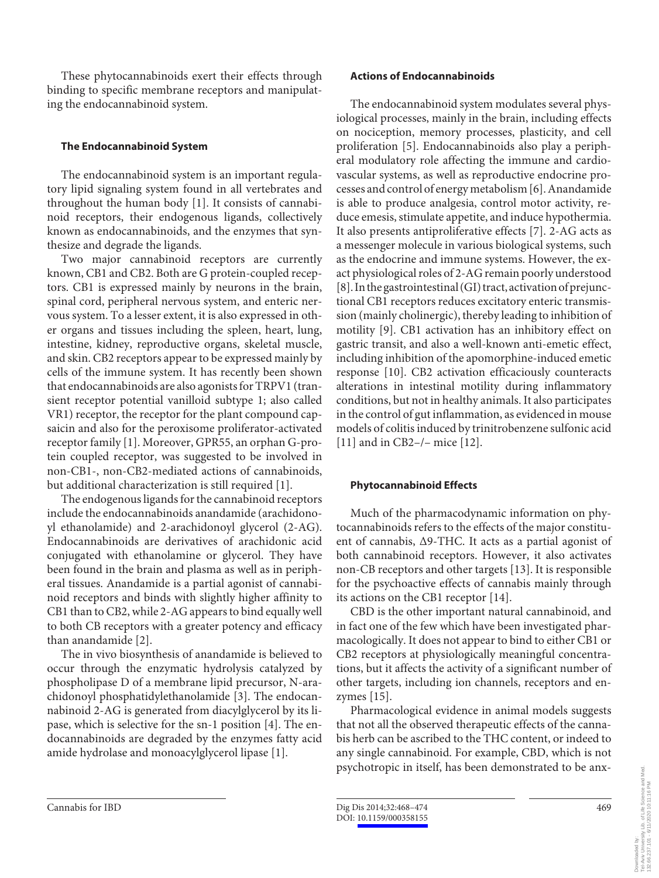These phytocannabinoids exert their effects through binding to specific membrane receptors and manipulating the endocannabinoid system.

#### **The Endocannabinoid System**

 The endocannabinoid system is an important regulatory lipid signaling system found in all vertebrates and throughout the human body [1]. It consists of cannabinoid receptors, their endogenous ligands, collectively known as endocannabinoids, and the enzymes that synthesize and degrade the ligands.

 Two major cannabinoid receptors are currently known, CB1 and CB2. Both are G protein-coupled receptors. CB1 is expressed mainly by neurons in the brain, spinal cord, peripheral nervous system, and enteric nervous system. To a lesser extent, it is also expressed in other organs and tissues including the spleen, heart, lung, intestine, kidney, reproductive organs, skeletal muscle, and skin. CB2 receptors appear to be expressed mainly by cells of the immune system. It has recently been shown that endocannabinoids are also agonists for TRPV1 (transient receptor potential vanilloid subtype 1; also called VR1) receptor, the receptor for the plant compound capsaicin and also for the peroxisome proliferator-activated receptor family [1]. Moreover, GPR55, an orphan G-protein coupled receptor, was suggested to be involved in non-CB1-, non-CB2-mediated actions of cannabinoids, but additional characterization is still required [1] .

 The endogenous ligands for the cannabinoid receptors include the endocannabinoids anandamide (arachidonoyl ethanolamide) and 2-arachidonoyl glycerol (2-AG). Endocannabinoids are derivatives of arachidonic acid conjugated with ethanolamine or glycerol. They have been found in the brain and plasma as well as in peripheral tissues. Anandamide is a partial agonist of cannabinoid receptors and binds with slightly higher affinity to CB1 than to CB2, while 2-AG appears to bind equally well to both CB receptors with a greater potency and efficacy than anandamide [2].

 The in vivo biosynthesis of anandamide is believed to occur through the enzymatic hydrolysis catalyzed by phospholipase D of a membrane lipid precursor, N-arachidonoyl phosphatidylethanolamide [3]. The endocannabinoid 2-AG is generated from diacylglycerol by its lipase, which is selective for the sn-1 position [4]. The endocannabinoids are degraded by the enzymes fatty acid amide hydrolase and monoacylglycerol lipase [1] .

#### **Actions of Endocannabinoids**

 The endocannabinoid system modulates several physiological processes, mainly in the brain, including effects on nociception, memory processes, plasticity, and cell proliferation [5]. Endocannabinoids also play a peripheral modulatory role affecting the immune and cardiovascular systems, as well as reproductive endocrine processes and control of energy metabolism [6] . Anandamide is able to produce analgesia, control motor activity, reduce emesis, stimulate appetite, and induce hypothermia. It also presents antiproliferative effects [7]. 2-AG acts as a messenger molecule in various biological systems, such as the endocrine and immune systems. However, the exact physiological roles of 2-AG remain poorly understood [8] . In the gastrointestinal (GI) tract, activation of prejunctional CB1 receptors reduces excitatory enteric transmission (mainly cholinergic), thereby leading to inhibition of motility [9]. CB1 activation has an inhibitory effect on gastric transit, and also a well-known anti-emetic effect, including inhibition of the apomorphine-induced emetic response [10]. CB2 activation efficaciously counteracts alterations in intestinal motility during inflammatory conditions, but not in healthy animals. It also participates in the control of gut inflammation, as evidenced in mouse models of colitis induced by trinitrobenzene sulfonic acid [11] and in CB2–/– mice [12] .

#### **Phytocannabinoid Effects**

 Much of the pharmacodynamic information on phytocannabinoids refers to the effects of the major constituent of cannabis, Δ9-THC. It acts as a partial agonist of both cannabinoid receptors. However, it also activates non-CB receptors and other targets [13] . It is responsible for the psychoactive effects of cannabis mainly through its actions on the CB1 receptor [14] .

 CBD is the other important natural cannabinoid, and in fact one of the few which have been investigated pharmacologically. It does not appear to bind to either CB1 or CB2 receptors at physiologically meaningful concentrations, but it affects the activity of a significant number of other targets, including ion channels, receptors and enzymes [15].

 Pharmacological evidence in animal models suggests that not all the observed therapeutic effects of the cannabis herb can be ascribed to the THC content, or indeed to any single cannabinoid. For example, CBD, which is not psychotropic in itself, has been demonstrated to be anx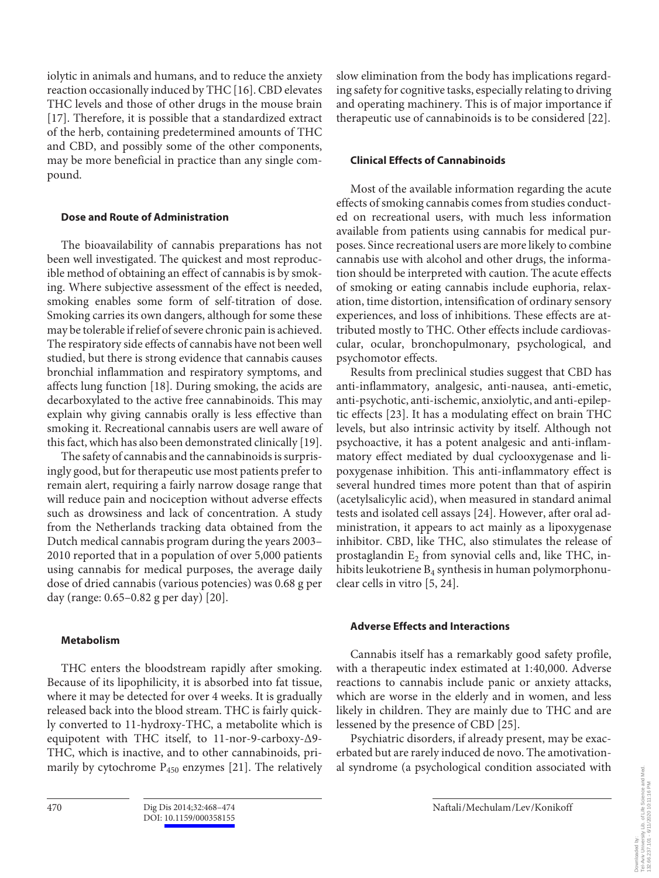iolytic in animals and humans, and to reduce the anxiety reaction occasionally induced by THC [16] . CBD elevates THC levels and those of other drugs in the mouse brain [17]. Therefore, it is possible that a standardized extract of the herb, containing predetermined amounts of THC and CBD, and possibly some of the other components, may be more beneficial in practice than any single compound.

#### **Dose and Route of Administration**

 The bioavailability of cannabis preparations has not been well investigated. The quickest and most reproducible method of obtaining an effect of cannabis is by smoking. Where subjective assessment of the effect is needed, smoking enables some form of self-titration of dose. Smoking carries its own dangers, although for some these may be tolerable if relief of severe chronic pain is achieved. The respiratory side effects of cannabis have not been well studied, but there is strong evidence that cannabis causes bronchial inflammation and respiratory symptoms, and affects lung function [18]. During smoking, the acids are decarboxylated to the active free cannabinoids. This may explain why giving cannabis orally is less effective than smoking it. Recreational cannabis users are well aware of this fact, which has also been demonstrated clinically [19] .

 The safety of cannabis and the cannabinoids is surprisingly good, but for therapeutic use most patients prefer to remain alert, requiring a fairly narrow dosage range that will reduce pain and nociception without adverse effects such as drowsiness and lack of concentration. A study from the Netherlands tracking data obtained from the Dutch medical cannabis program during the years 2003– 2010 reported that in a population of over 5,000 patients using cannabis for medical purposes, the average daily dose of dried cannabis (various potencies) was 0.68 g per day (range: 0.65–0.82 g per day) [20] .

#### **Metabolism**

 THC enters the bloodstream rapidly after smoking. Because of its lipophilicity, it is absorbed into fat tissue, where it may be detected for over 4 weeks. It is gradually released back into the blood stream. THC is fairly quickly converted to 11-hydroxy-THC, a metabolite which is equipotent with THC itself, to 11-nor-9-carboxy-Δ9- THC, which is inactive, and to other cannabinoids, primarily by cytochrome  $P_{450}$  enzymes [21]. The relatively

slow elimination from the body has implications regarding safety for cognitive tasks, especially relating to driving and operating machinery. This is of major importance if therapeutic use of cannabinoids is to be considered [22] .

#### **Clinical Effects of Cannabinoids**

 Most of the available information regarding the acute effects of smoking cannabis comes from studies conducted on recreational users, with much less information available from patients using cannabis for medical purposes. Since recreational users are more likely to combine cannabis use with alcohol and other drugs, the information should be interpreted with caution. The acute effects of smoking or eating cannabis include euphoria, relaxation, time distortion, intensification of ordinary sensory experiences, and loss of inhibitions. These effects are attributed mostly to THC. Other effects include cardiovascular, ocular, bronchopulmonary, psychological, and psychomotor effects.

 Results from preclinical studies suggest that CBD has anti-inflammatory, analgesic, anti-nausea, anti-emetic, anti-psychotic, anti-ischemic, anxiolytic, and anti-epileptic effects [23]. It has a modulating effect on brain THC levels, but also intrinsic activity by itself. Although not psychoactive, it has a potent analgesic and anti-inflammatory effect mediated by dual cyclooxygenase and lipoxygenase inhibition. This anti-inflammatory effect is several hundred times more potent than that of aspirin (acetylsalicylic acid), when measured in standard animal tests and isolated cell assays [24] . However, after oral administration, it appears to act mainly as a lipoxygenase inhibitor. CBD, like THC, also stimulates the release of prostaglandin  $E_2$  from synovial cells and, like THC, inhibits leukotriene  $B_4$  synthesis in human polymorphonuclear cells in vitro [5, 24] .

#### **Adverse Effects and Interactions**

 Cannabis itself has a remarkably good safety profile, with a therapeutic index estimated at 1:40,000. Adverse reactions to cannabis include panic or anxiety attacks, which are worse in the elderly and in women, and less likely in children. They are mainly due to THC and are lessened by the presence of CBD [25] .

 Psychiatric disorders, if already present, may be exacerbated but are rarely induced de novo. The amotivational syndrome (a psychological condition associated with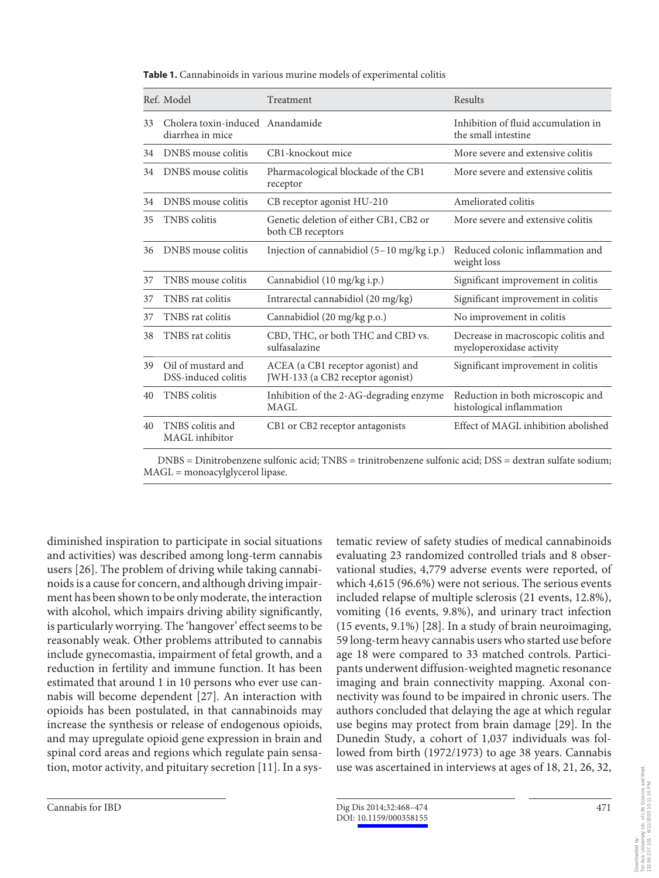|    | Ref. Model                                           | Treatment                                                             | Results                                                         |
|----|------------------------------------------------------|-----------------------------------------------------------------------|-----------------------------------------------------------------|
| 33 | Cholera toxin-induced Anandamide<br>diarrhea in mice |                                                                       | Inhibition of fluid accumulation in<br>the small intestine      |
| 34 | DNBS mouse colitis                                   | CB1-knockout mice                                                     | More severe and extensive colitis                               |
| 34 | DNBS mouse colitis                                   | Pharmacological blockade of the CB1<br>receptor                       | More severe and extensive colitis                               |
| 34 | DNBS mouse colitis                                   | CB receptor agonist HU-210                                            | Ameliorated colitis                                             |
| 35 | <b>TNBS</b> colitis                                  | Genetic deletion of either CB1, CB2 or<br>both CB receptors           | More severe and extensive colitis                               |
| 36 | DNBS mouse colitis                                   | Injection of cannabidiol $(5-10 \text{ mg/kg} \text{ i.p.})$          | Reduced colonic inflammation and<br>weight loss                 |
| 37 | TNBS mouse colitis                                   | Cannabidiol (10 mg/kg i.p.)                                           | Significant improvement in colitis                              |
| 37 | TNBS rat colitis                                     | Intrarectal cannabidiol (20 mg/kg)                                    | Significant improvement in colitis                              |
| 37 | TNBS rat colitis                                     | Cannabidiol (20 mg/kg p.o.)                                           | No improvement in colitis                                       |
| 38 | TNBS rat colitis                                     | CBD, THC, or both THC and CBD vs.<br>sulfasalazine                    | Decrease in macroscopic colitis and<br>myeloperoxidase activity |
| 39 | Oil of mustard and<br>DSS-induced colitis            | ACEA (a CB1 receptor agonist) and<br>JWH-133 (a CB2 receptor agonist) | Significant improvement in colitis                              |
| 40 | <b>TNBS</b> colitis                                  | Inhibition of the 2-AG-degrading enzyme<br>MAGL                       | Reduction in both microscopic and<br>histological inflammation  |
| 40 | TNBS colitis and<br>MAGL inhibitor                   | CB1 or CB2 receptor antagonists                                       | Effect of MAGL inhibition abolished                             |

**Table 1.** Cannabinoids in various murine models of experimental colitis

 DNBS = Dinitrobenzene sulfonic acid; TNBS = trinitrobenzene sulfonic acid; DSS = dextran sulfate sodium; MAGL = monoacylglycerol lipase.

diminished inspiration to participate in social situations and activities) was described among long-term cannabis users [26] . The problem of driving while taking cannabinoids is a cause for concern, and although driving impairment has been shown to be only moderate, the interaction with alcohol, which impairs driving ability significantly, is particularly worrying. The 'hangover' effect seems to be reasonably weak. Other problems attributed to cannabis include gynecomastia, impairment of fetal growth, and a reduction in fertility and immune function. It has been estimated that around 1 in 10 persons who ever use cannabis will become dependent [27]. An interaction with opioids has been postulated, in that cannabinoids may increase the synthesis or release of endogenous opioids, and may upregulate opioid gene expression in brain and spinal cord areas and regions which regulate pain sensation, motor activity, and pituitary secretion [11] . In a systematic review of safety studies of medical cannabinoids evaluating 23 randomized controlled trials and 8 observational studies, 4,779 adverse events were reported, of which 4,615 (96.6%) were not serious. The serious events included relapse of multiple sclerosis (21 events, 12.8%), vomiting (16 events, 9.8%), and urinary tract infection  $(15$  events, 9.1%) [28]. In a study of brain neuroimaging, 59 long-term heavy cannabis users who started use before age 18 were compared to 33 matched controls. Participants underwent diffusion-weighted magnetic resonance imaging and brain connectivity mapping. Axonal connectivity was found to be impaired in chronic users. The authors concluded that delaying the age at which regular use begins may protect from brain damage [29]. In the Dunedin Study, a cohort of 1,037 individuals was followed from birth (1972/1973) to age 38 years. Cannabis use was ascertained in interviews at ages of 18, 21, 26, 32,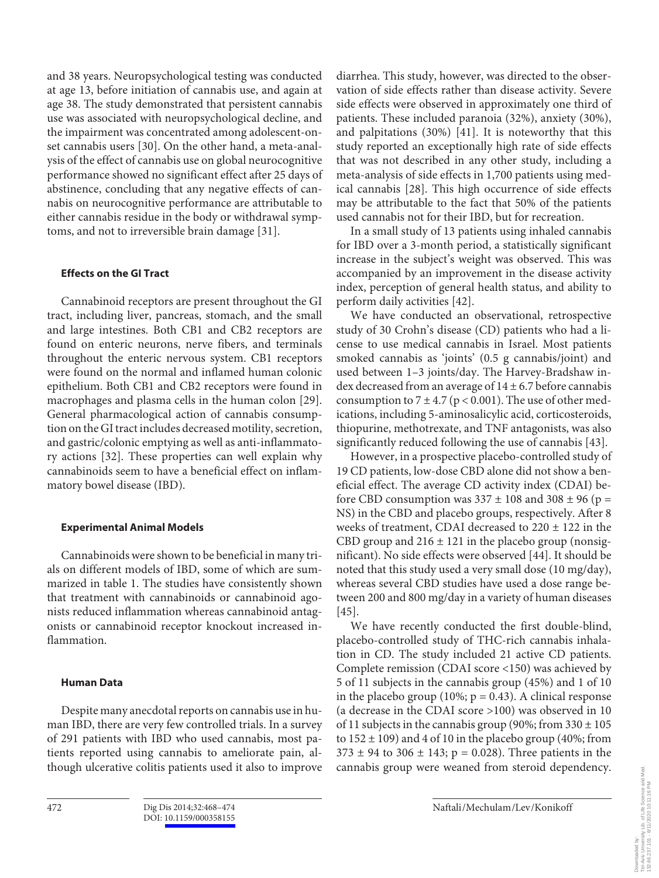and 38 years. Neuropsychological testing was conducted at age 13, before initiation of cannabis use, and again at age 38. The study demonstrated that persistent cannabis use was associated with neuropsychological decline, and the impairment was concentrated among adolescent-onset cannabis users [30]. On the other hand, a meta-analysis of the effect of cannabis use on global neurocognitive performance showed no significant effect after 25 days of abstinence, concluding that any negative effects of cannabis on neurocognitive performance are attributable to either cannabis residue in the body or withdrawal symptoms, and not to irreversible brain damage [31] .

#### **Effects on the GI Tract**

 Cannabinoid receptors are present throughout the GI tract, including liver, pancreas, stomach, and the small and large intestines. Both CB1 and CB2 receptors are found on enteric neurons, nerve fibers, and terminals throughout the enteric nervous system. CB1 receptors were found on the normal and inflamed human colonic epithelium. Both CB1 and CB2 receptors were found in macrophages and plasma cells in the human colon [29] . General pharmacological action of cannabis consumption on the GI tract includes decreased motility, secretion, and gastric/colonic emptying as well as anti-inflammatory actions [32]. These properties can well explain why cannabinoids seem to have a beneficial effect on inflammatory bowel disease (IBD).

#### **Experimental Animal Models**

 Cannabinoids were shown to be beneficial in many trials on different models of IBD, some of which are summarized in table 1. The studies have consistently shown that treatment with cannabinoids or cannabinoid agonists reduced inflammation whereas cannabinoid antagonists or cannabinoid receptor knockout increased inflammation.

#### **Human Data**

 Despite many anecdotal reports on cannabis use in human IBD, there are very few controlled trials. In a survey of 291 patients with IBD who used cannabis, most patients reported using cannabis to ameliorate pain, although ulcerative colitis patients used it also to improve

diarrhea. This study, however, was directed to the observation of side effects rather than disease activity. Severe side effects were observed in approximately one third of patients. These included paranoia (32%), anxiety (30%), and palpitations  $(30%)$  [41]. It is noteworthy that this study reported an exceptionally high rate of side effects that was not described in any other study, including a meta-analysis of side effects in 1,700 patients using medical cannabis [28]. This high occurrence of side effects may be attributable to the fact that 50% of the patients used cannabis not for their IBD, but for recreation.

 In a small study of 13 patients using inhaled cannabis for IBD over a 3-month period, a statistically significant increase in the subject's weight was observed. This was accompanied by an improvement in the disease activity index, perception of general health status, and ability to perform daily activities [42] .

 We have conducted an observational, retrospective study of 30 Crohn's disease (CD) patients who had a license to use medical cannabis in Israel. Most patients smoked cannabis as 'joints' (0.5 g cannabis/joint) and used between 1–3 joints/day. The Harvey-Bradshaw index decreased from an average of  $14 \pm 6.7$  before cannabis consumption to  $7 \pm 4.7$  (p < 0.001). The use of other medications, including 5-aminosalicylic acid, corticosteroids, thiopurine, methotrexate, and TNF antagonists, was also significantly reduced following the use of cannabis [43] .

 However, in a prospective placebo-controlled study of 19 CD patients, low-dose CBD alone did not show a beneficial effect. The average CD activity index (CDAI) before CBD consumption was  $337 \pm 108$  and  $308 \pm 96$  (p = NS) in the CBD and placebo groups, respectively. After 8 weeks of treatment, CDAI decreased to 220 ± 122 in the CBD group and  $216 \pm 121$  in the placebo group (nonsignificant). No side effects were observed [44] . It should be noted that this study used a very small dose (10 mg/day), whereas several CBD studies have used a dose range between 200 and 800 mg/day in a variety of human diseases  $[45]$ .

 We have recently conducted the first double-blind, placebo-controlled study of THC-rich cannabis inhalation in CD. The study included 21 active CD patients. Complete remission (CDAI score <150) was achieved by 5 of 11 subjects in the cannabis group (45%) and 1 of 10 in the placebo group (10%;  $p = 0.43$ ). A clinical response (a decrease in the CDAI score >100) was observed in 10 of 11 subjects in the cannabis group (90%; from  $330 \pm 105$ ) to  $152 \pm 109$ ) and 4 of 10 in the placebo group (40%; from  $373 \pm 94$  to  $306 \pm 143$ ; p = 0.028). Three patients in the cannabis group were weaned from steroid dependency.

132.66.237.101 - 6/11/2020 10:11:16 PM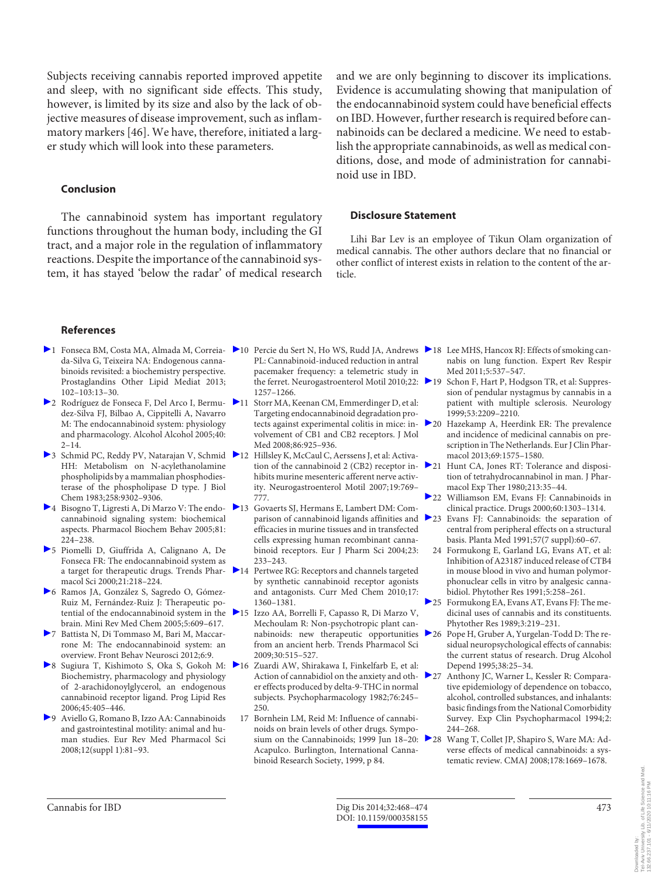Subjects receiving cannabis reported improved appetite and sleep, with no significant side effects. This study, however, is limited by its size and also by the lack of objective measures of disease improvement, such as inflammatory markers [46]. We have, therefore, initiated a larger study which will look into these parameters.

#### **Conclusion**

 The cannabinoid system has important regulatory functions throughout the human body, including the GI tract, and a major role in the regulation of inflammatory reactions. Despite the importance of the cannabinoid system, it has stayed 'below the radar' of medical research

and we are only beginning to discover its implications. Evidence is accumulating showing that manipulation of the endocannabinoid system could have beneficial effects on IBD. However, further research is required before cannabinoids can be declared a medicine. We need to establish the appropriate cannabinoids, as well as medical conditions, dose, and mode of administration for cannabinoid use in IBD.

#### **Disclosure Statement**

 Lihi Bar Lev is an employee of Tikun Olam organization of medical cannabis. The other authors declare that no financial or other conflict of interest exists in relation to the content of the article.

#### **References**

- da-Silva G, Teixeira NA: Endogenous cannabinoids revisited: a biochemistry perspective. Prostaglandins Other Lipid Mediat 2013; 102–103:13–30.
- 2 Rodríguez de Fonseca F, Del Arco I, Bermudez-Silva FJ, Bilbao A, Cippitelli A, Navarro M: The endocannabinoid system: physiology and pharmacology. Alcohol Alcohol 2005;40:  $2 - 14.$
- ▶ 3 Schmid PC, Reddy PV, Natarajan V, Schmid ▶ 12 HH: Metabolism on N-acylethanolamine phospholipids by a mammalian phosphodiesterase of the phospholipase D type. J Biol Chem 1983;258:9302–9306.
- 4 Bisogno T, Ligresti A, Di Marzo V: The endo- 13 Govaerts SJ, Hermans E, Lambert DM: Comcannabinoid signaling system: biochemical aspects. Pharmacol Biochem Behav 2005;81: 224–238.
- 5 Piomelli D, Giuffrida A, Calignano A, De Fonseca FR: The endocannabinoid system as a target for therapeutic drugs. Trends Phar- $\geq 14$ macol Sci 2000;21:218–224.
- 6 Ramos JA, González S, Sagredo O, Gómez-Ruiz M, Fernández-Ruiz J: Therapeutic potential of the endocannabinoid system in the 215 brain. Mini Rev Med Chem 2005;5:609–617.
- 7 Battista N, Di Tommaso M, Bari M, Maccarrone M: The endocannabinoid system: an overview. Front Behav Neurosci 2012;6:9.
- ▶ 8 Sugiura T, Kishimoto S, Oka S, Gokoh M: ▶ 16 Biochemistry, pharmacology and physiology of 2-arachidonoylglycerol, an endogenous cannabinoid receptor ligand. Prog Lipid Res 2006;45:405–446.
- 9 Aviello G, Romano B, Izzo AA: Cannabinoids and gastrointestinal motility: animal and human studies. Eur Rev Med Pharmacol Sci 2008;12(suppl 1):81–93.
- 1 Fonseca BM, Costa MA, Almada M, Correia- 10 Percie du Sert N, Ho WS, Rudd JA, Andrews 18 Lee MHS, Hancox RJ: Effects of smoking can-PL: Cannabinoid-induced reduction in antral pacemaker frequency: a telemetric study in the ferret. Neurogastroenterol Motil 2010;22: 219 1257–1266.
	- 11 Storr MA, Keenan CM, Emmerdinger D, et al: Targeting endocannabinoid degradation protects against experimental colitis in mice: involvement of CB1 and CB2 receptors. J Mol Med 2008;86:925–936.
		- Hillsley K, McCaul C, Aerssens J, et al: Activation of the cannabinoid 2 (CB2) receptor inhibits murine mesenteric afferent nerve activity. Neurogastroenterol Motil 2007;19:769– 777.
	- parison of cannabinoid ligands affinities and  $\geq 23$ efficacies in murine tissues and in transfected cells expressing human recombinant cannabinoid receptors. Eur J Pharm Sci 2004;23: 233–243.
	- Pertwee RG: Receptors and channels targeted by synthetic cannabinoid receptor agonists and antagonists. Curr Med Chem 2010;17: 1360–1381.
	- Izzo AA, Borrelli F, Capasso R, Di Marzo V, Mechoulam R: Non-psychotropic plant cannabinoids: new therapeutic opportunities from an ancient herb. Trends Pharmacol Sci 2009;30:515–527.
	- Zuardi AW, Shirakawa I, Finkelfarb E, et al: Action of cannabidiol on the anxiety and other effects produced by delta-9-THC in normal subjects. Psychopharmacology 1982;76:245– 250.
	- 17 Bornhein LM, Reid M: Influence of cannabinoids on brain levels of other drugs. Symposium on the Cannabinoids; 1999 Jun 18-20: 28 Acapulco. Burlington, International Cannabinoid Research Society, 1999, p 84.
- nabis on lung function. Expert Rev Respir Med 2011;5:537–547.
- Schon F, Hart P, Hodgson TR, et al: Suppression of pendular nystagmus by cannabis in a patient with multiple sclerosis. Neurology 1999;53:2209–2210.
- 20 Hazekamp A, Heerdink ER: The prevalence and incidence of medicinal cannabis on prescription in The Netherlands. Eur J Clin Pharmacol 2013;69:1575–1580.
- 21 Hunt CA, Jones RT: Tolerance and disposition of tetrahydrocannabinol in man. J Pharmacol Exp Ther 1980;213:35–44.
- 22 Williamson EM, Evans FJ: Cannabinoids in clinical practice. Drugs 2000;60:1303–1314.
- Evans FJ: Cannabinoids: the separation of central from peripheral effects on a structural basis. Planta Med 1991;57(7 suppl):60–67.
- 24 Formukong E, Garland LG, Evans AT, et al: Inhibition of A23187 induced release of CTB4 in mouse blood in vivo and human polymorphonuclear cells in vitro by analgesic cannabidiol. Phytother Res 1991;5:258–261.
- 25 Formukong EA, Evans AT, Evans FJ: The medicinal uses of cannabis and its constituents. Phytother Res 1989;3:219–231.
- 26 Pope H, Gruber A, Yurgelan-Todd D: The residual neuropsychological effects of cannabis: the current status of research. Drug Alcohol Depend 1995;38:25–34.
- 27 Anthony JC, Warner L, Kessler R: Comparative epidemiology of dependence on tobacco, alcohol, controlled substances, and inhalants: basic findings from the National Comorbidity Survey. Exp Clin Psychopharmacol 1994;2: 244–268.
	- Wang T, Collet JP, Shapiro S, Ware MA: Adverse effects of medical cannabinoids: a systematic review. CMAJ 2008;178:1669–1678.